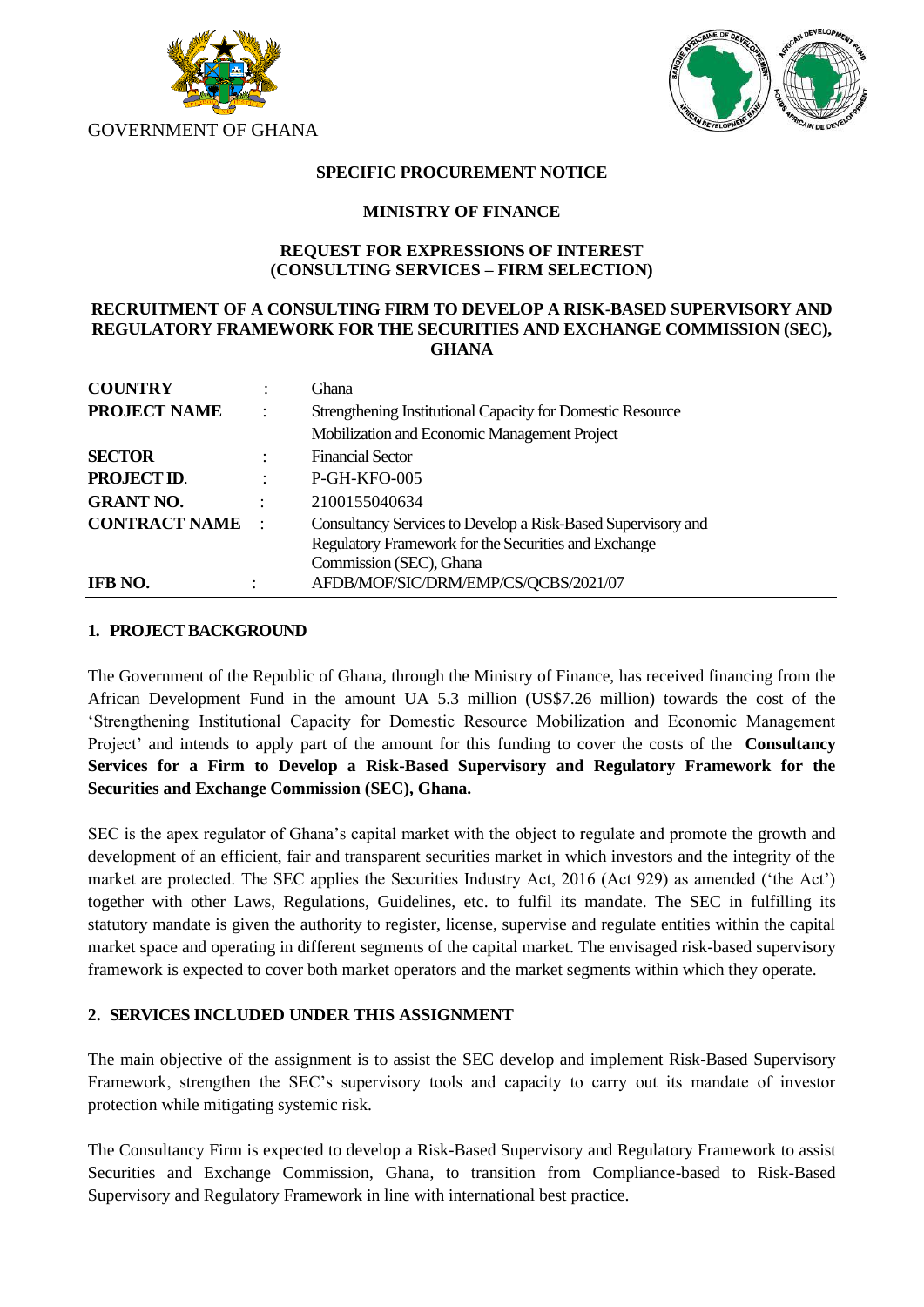



### **SPECIFIC PROCUREMENT NOTICE**

#### **MINISTRY OF FINANCE**

### **REQUEST FOR EXPRESSIONS OF INTEREST (CONSULTING SERVICES – FIRM SELECTION)**

#### **RECRUITMENT OF A CONSULTING FIRM TO DEVELOP A RISK-BASED SUPERVISORY AND REGULATORY FRAMEWORK FOR THE SECURITIES AND EXCHANGE COMMISSION (SEC), GHANA**

| <b>COUNTRY</b>       |                      | Ghana                                                        |
|----------------------|----------------------|--------------------------------------------------------------|
| <b>PROJECT NAME</b>  | $\ddot{\phantom{a}}$ | Strengthening Institutional Capacity for Domestic Resource   |
|                      |                      | Mobilization and Economic Management Project                 |
| <b>SECTOR</b>        |                      | <b>Financial Sector</b>                                      |
| PROJECT ID.          |                      | P-GH-KFO-005                                                 |
| <b>GRANT NO.</b>     | ٠                    | 2100155040634                                                |
| <b>CONTRACT NAME</b> | $\blacksquare$       | Consultancy Services to Develop a Risk-Based Supervisory and |
|                      |                      | Regulatory Framework for the Securities and Exchange         |
|                      |                      | Commission (SEC), Ghana                                      |
| IFB NO.              |                      | AFDB/MOF/SIC/DRM/EMP/CS/QCBS/2021/07                         |

#### **1. PROJECT BACKGROUND**

The Government of the Republic of Ghana, through the Ministry of Finance, has received financing from the African Development Fund in the amount UA 5.3 million (US\$7.26 million) towards the cost of the 'Strengthening Institutional Capacity for Domestic Resource Mobilization and Economic Management Project' and intends to apply part of the amount for this funding to cover the costs of the **Consultancy Services for a Firm to Develop a Risk-Based Supervisory and Regulatory Framework for the Securities and Exchange Commission (SEC), Ghana.**

SEC is the apex regulator of Ghana's capital market with the object to regulate and promote the growth and development of an efficient, fair and transparent securities market in which investors and the integrity of the market are protected. The SEC applies the Securities Industry Act, 2016 (Act 929) as amended ('the Act') together with other Laws, Regulations, Guidelines, etc. to fulfil its mandate. The SEC in fulfilling its statutory mandate is given the authority to register, license, supervise and regulate entities within the capital market space and operating in different segments of the capital market. The envisaged risk-based supervisory framework is expected to cover both market operators and the market segments within which they operate.

# **2. SERVICES INCLUDED UNDER THIS ASSIGNMENT**

The main objective of the assignment is to assist the SEC develop and implement Risk-Based Supervisory Framework, strengthen the SEC's supervisory tools and capacity to carry out its mandate of investor protection while mitigating systemic risk.

The Consultancy Firm is expected to develop a Risk-Based Supervisory and Regulatory Framework to assist Securities and Exchange Commission, Ghana, to transition from Compliance-based to Risk-Based Supervisory and Regulatory Framework in line with international best practice.